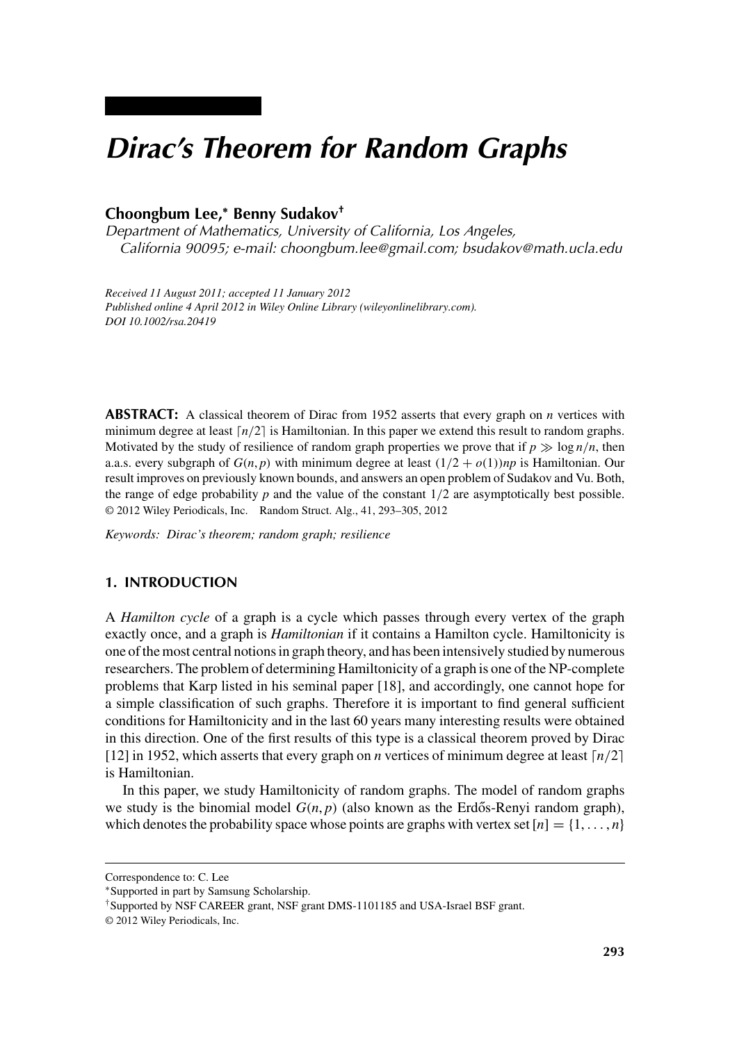# *Dirac's Theorem for Random Graphs*

## **Choongbum Lee,<sup>∗</sup> Benny Sudakov†**

*Department of Mathematics, University of California, Los Angeles, California 90095; e-mail: choongbum.lee@gmail.com; bsudakov@math.ucla.edu*

*Received 11 August 2011; accepted 11 January 2012 Published online 4 April 2012 in Wiley Online Library (wileyonlinelibrary.com). DOI 10.1002/rsa.20419*

**ABSTRACT:** A classical theorem of Dirac from 1952 asserts that every graph on *n* vertices with minimum degree at least  $\lceil n/2 \rceil$  is Hamiltonian. In this paper we extend this result to random graphs. Motivated by the study of resilience of random graph properties we prove that if  $p \gg \log n/n$ , then a.a.s. every subgraph of  $G(n, p)$  with minimum degree at least  $(1/2 + o(1))$ *np* is Hamiltonian. Our result improves on previously known bounds, and answers an open problem of Sudakov and Vu. Both, the range of edge probability *p* and the value of the constant 1*/*2 are asymptotically best possible. © 2012 Wiley Periodicals, Inc. Random Struct. Alg., 41, 293–305, 2012

*Keywords: Dirac's theorem; random graph; resilience*

## **1. INTRODUCTION**

A *Hamilton cycle* of a graph is a cycle which passes through every vertex of the graph exactly once, and a graph is *Hamiltonian* if it contains a Hamilton cycle. Hamiltonicity is one of the most central notions in graph theory, and has been intensively studied by numerous researchers. The problem of determining Hamiltonicity of a graph is one of the NP-complete problems that Karp listed in his seminal paper [18], and accordingly, one cannot hope for a simple classification of such graphs. Therefore it is important to find general sufficient conditions for Hamiltonicity and in the last 60 years many interesting results were obtained in this direction. One of the first results of this type is a classical theorem proved by Dirac [12] in 1952, which asserts that every graph on *n* vertices of minimum degree at least  $\lceil n/2 \rceil$ is Hamiltonian.

In this paper, we study Hamiltonicity of random graphs. The model of random graphs we study is the binomial model  $G(n, p)$  (also known as the Erdős-Renyi random graph), which denotes the probability space whose points are graphs with vertex set  $[n] = \{1, \ldots, n\}$ 

Correspondence to: C. Lee

<sup>∗</sup>Supported in part by Samsung Scholarship.

<sup>†</sup>Supported by NSF CAREER grant, NSF grant DMS-1101185 and USA-Israel BSF grant.

<sup>© 2012</sup> Wiley Periodicals, Inc.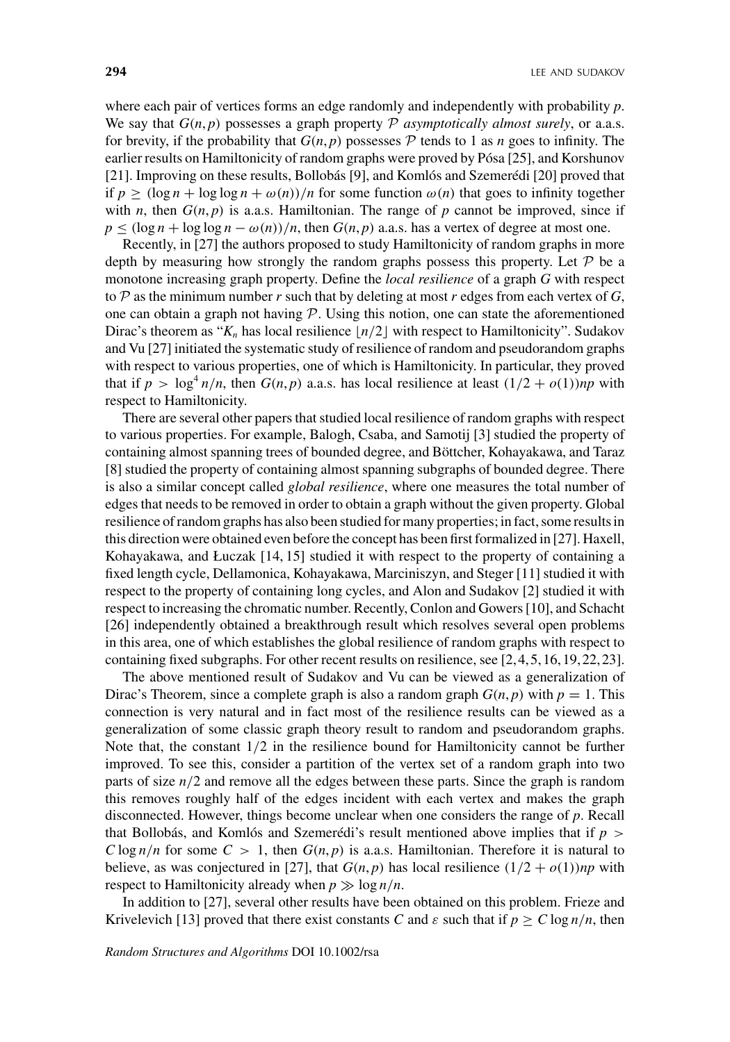where each pair of vertices forms an edge randomly and independently with probability *p*. We say that  $G(n, p)$  possesses a graph property  $P$  *asymptotically almost surely*, or a.a.s. for brevity, if the probability that  $G(n, p)$  possesses  $P$  tends to 1 as *n* goes to infinity. The earlier results on Hamiltonicity of random graphs were proved by Pósa [25], and Korshunov [21]. Improving on these results, Bollobás [9], and Komlós and Szemerédi [20] proved that if  $p \geq (\log n + \log \log n + \omega(n))/n$  for some function  $\omega(n)$  that goes to infinity together with *n*, then  $G(n, p)$  is a.a.s. Hamiltonian. The range of *p* cannot be improved, since if  $p \leq (\log n + \log \log n - \omega(n))/n$ , then  $G(n, p)$  a.a.s. has a vertex of degree at most one.

Recently, in [27] the authors proposed to study Hamiltonicity of random graphs in more depth by measuring how strongly the random graphs possess this property. Let  $P$  be a monotone increasing graph property. Define the *local resilience* of a graph *G* with respect to  $P$  as the minimum number  $r$  such that by deleting at most  $r$  edges from each vertex of  $G$ , one can obtain a graph not having  $P$ . Using this notion, one can state the aforementioned Dirac's theorem as " $K_n$  has local resilience  $n/2$  with respect to Hamiltonicity". Sudakov and Vu [27] initiated the systematic study of resilience of random and pseudorandom graphs with respect to various properties, one of which is Hamiltonicity. In particular, they proved that if  $p > \log^4 n/n$ , then  $G(n, p)$  a.a.s. has local resilience at least  $(1/2 + o(1))np$  with respect to Hamiltonicity.

There are several other papers that studied local resilience of random graphs with respect to various properties. For example, Balogh, Csaba, and Samotij [3] studied the property of containing almost spanning trees of bounded degree, and Böttcher, Kohayakawa, and Taraz [8] studied the property of containing almost spanning subgraphs of bounded degree. There is also a similar concept called *global resilience*, where one measures the total number of edges that needs to be removed in order to obtain a graph without the given property. Global resilience of random graphs has also been studied for many properties; in fact, some results in this direction were obtained even before the concept has been first formalized in [27]. Haxell, Kohayakawa, and Łuczak [14, 15] studied it with respect to the property of containing a fixed length cycle, Dellamonica, Kohayakawa, Marciniszyn, and Steger [11] studied it with respect to the property of containing long cycles, and Alon and Sudakov [2] studied it with respect to increasing the chromatic number. Recently, Conlon and Gowers [10], and Schacht [26] independently obtained a breakthrough result which resolves several open problems in this area, one of which establishes the global resilience of random graphs with respect to containing fixed subgraphs. For other recent results on resilience, see [2,4,5,16,19,22,23].

The above mentioned result of Sudakov and Vu can be viewed as a generalization of Dirac's Theorem, since a complete graph is also a random graph  $G(n, p)$  with  $p = 1$ . This connection is very natural and in fact most of the resilience results can be viewed as a generalization of some classic graph theory result to random and pseudorandom graphs. Note that, the constant 1*/*2 in the resilience bound for Hamiltonicity cannot be further improved. To see this, consider a partition of the vertex set of a random graph into two parts of size *n/*2 and remove all the edges between these parts. Since the graph is random this removes roughly half of the edges incident with each vertex and makes the graph disconnected. However, things become unclear when one considers the range of *p*. Recall that Bollobás, and Komlós and Szemerédi's result mentioned above implies that if *p > C* log  $n/n$  for some  $C > 1$ , then  $G(n, p)$  is a.a.s. Hamiltonian. Therefore it is natural to believe, as was conjectured in [27], that  $G(n, p)$  has local resilience  $(1/2 + o(1))$ *np* with respect to Hamiltonicity already when  $p \gg \log n/n$ .

In addition to [27], several other results have been obtained on this problem. Frieze and Krivelevich [13] proved that there exist constants *C* and  $\varepsilon$  such that if  $p > C \log n/n$ , then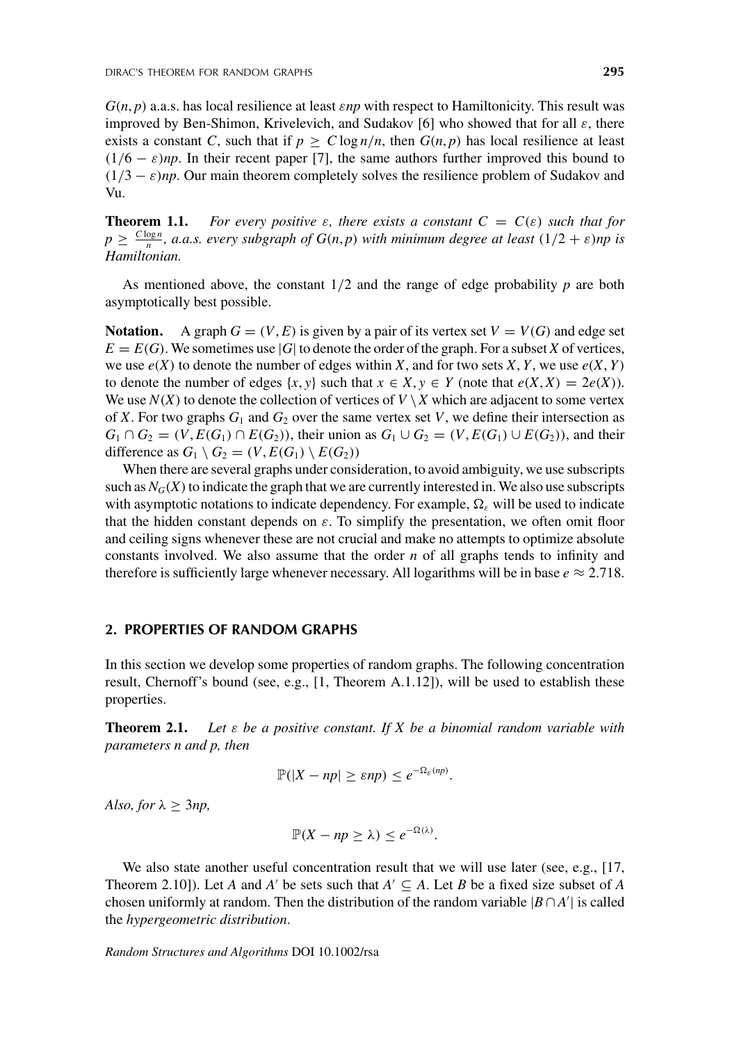*G(n*, *p)* a.a.s. has local resilience at least *εnp* with respect to Hamiltonicity. This result was improved by Ben-Shimon, Krivelevich, and Sudakov [6] who showed that for all *ε*, there exists a constant *C*, such that if  $p \ge C \log n/n$ , then  $G(n, p)$  has local resilience at least  $(1/6 - \varepsilon)$ *np*. In their recent paper [7], the same authors further improved this bound to  $(1/3 - \varepsilon)$ *np*. Our main theorem completely solves the resilience problem of Sudakov and Vu.

**Theorem 1.1.** For every positive  $\varepsilon$ , there exists a constant  $C = C(\varepsilon)$  such that for  $p \geq \frac{C \log n}{n}$ , a.a.s. every subgraph of  $G(n, p)$  with minimum degree at least  $(1/2 + \varepsilon)$ np is *Hamiltonian.*

As mentioned above, the constant  $1/2$  and the range of edge probability  $p$  are both asymptotically best possible.

**Notation.** A graph  $G = (V, E)$  is given by a pair of its vertex set  $V = V(G)$  and edge set  $E = E(G)$ . We sometimes use |*G*| to denote the order of the graph. For a subset *X* of vertices, we use  $e(X)$  to denote the number of edges within *X*, and for two sets *X*, *Y*, we use  $e(X, Y)$ to denote the number of edges  $\{x, y\}$  such that  $x \in X, y \in Y$  (note that  $e(X, X) = 2e(X)$ ). We use  $N(X)$  to denote the collection of vertices of  $V \setminus X$  which are adjacent to some vertex of *X*. For two graphs  $G_1$  and  $G_2$  over the same vertex set *V*, we define their intersection as  $G_1 \cap G_2 = (V, E(G_1) \cap E(G_2))$ , their union as  $G_1 \cup G_2 = (V, E(G_1) \cup E(G_2))$ , and their difference as  $G_1 \setminus G_2 = (V, E(G_1) \setminus E(G_2))$ 

When there are several graphs under consideration, to avoid ambiguity, we use subscripts such as  $N_G(X)$  to indicate the graph that we are currently interested in. We also use subscripts with asymptotic notations to indicate dependency. For example,  $\Omega_{\varepsilon}$  will be used to indicate that the hidden constant depends on  $\varepsilon$ . To simplify the presentation, we often omit floor and ceiling signs whenever these are not crucial and make no attempts to optimize absolute constants involved. We also assume that the order *n* of all graphs tends to infinity and therefore is sufficiently large whenever necessary. All logarithms will be in base  $e \approx 2.718$ .

## **2. PROPERTIES OF RANDOM GRAPHS**

In this section we develop some properties of random graphs. The following concentration result, Chernoff's bound (see, e.g., [1, Theorem A.1.12]), will be used to establish these properties.

**Theorem 2.1.** *Let ε be a positive constant. If X be a binomial random variable with parameters n and p, then*

$$
\mathbb{P}(|X - np| \ge \varepsilon np) \le e^{-\Omega_{\varepsilon}(np)}.
$$

*Also, for*  $\lambda \geq 3np$ ,

$$
\mathbb{P}(X - np \ge \lambda) \le e^{-\Omega(\lambda)}.
$$

We also state another useful concentration result that we will use later (see, e.g., [17, Theorem 2.10]). Let *A* and *A'* be sets such that  $A' \subseteq A$ . Let *B* be a fixed size subset of *A* chosen uniformly at random. Then the distribution of the random variable  $|B \cap A'|$  is called the *hypergeometric distribution*.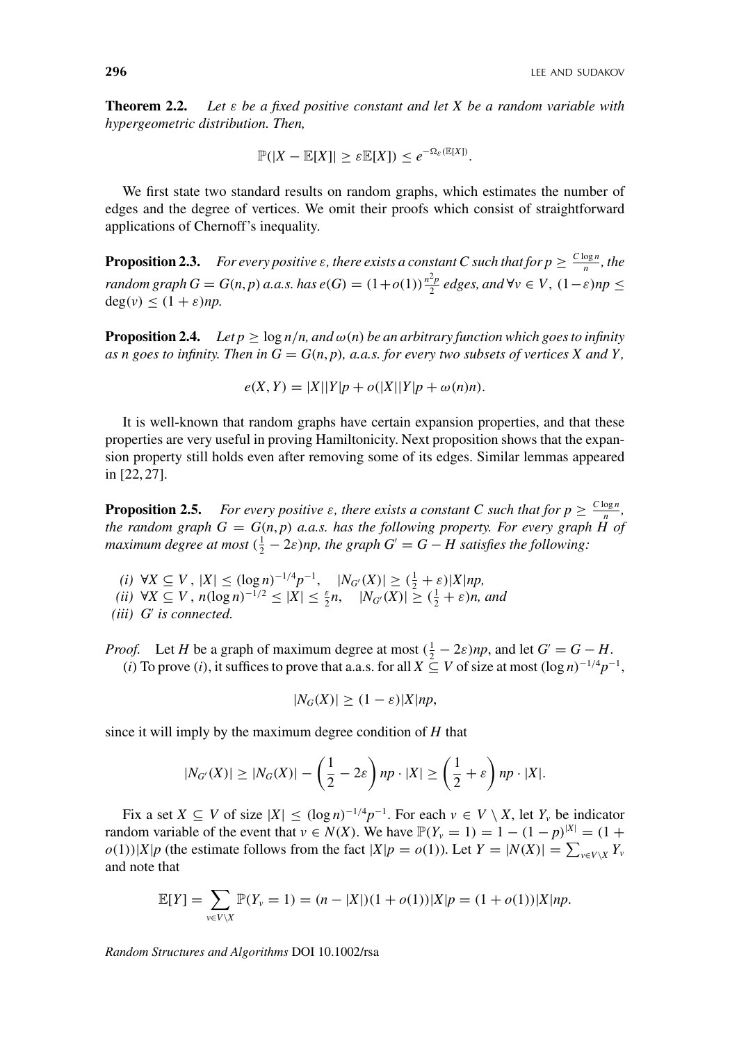**Theorem 2.2.** *Let ε be a fixed positive constant and let X be a random variable with hypergeometric distribution. Then,*

$$
\mathbb{P}(|X-\mathbb{E}[X]| \geq \varepsilon \mathbb{E}[X]) \leq e^{-\Omega_{\varepsilon}(\mathbb{E}[X])}.
$$

We first state two standard results on random graphs, which estimates the number of edges and the degree of vertices. We omit their proofs which consist of straightforward applications of Chernoff's inequality.

**Proposition 2.3.** *For every positive*  $\varepsilon$ *, there exists a constant C such that for*  $p \geq \frac{C \log n}{n}$ *<i>, the* random graph  $G = G(n, p)$  a.a.s. has  $e(G) = (1 + o(1))\frac{n^2p}{2}$  edges, and  $\forall v \in V$ ,  $(1 - \varepsilon)np \leq$  $deg(v) \leq (1 + \varepsilon)np$ .

**Proposition 2.4.** *Let*  $p \ge \log n/n$ , and  $\omega(n)$  be an arbitrary function which goes to infinity *as n goes to infinity. Then in*  $G = G(n, p)$ *, a.a.s. for every two subsets of vertices X and Y*,

 $e(X, Y) = |X||Y|p + o(|X||Y|p + \omega(n)n)$ .

It is well-known that random graphs have certain expansion properties, and that these properties are very useful in proving Hamiltonicity. Next proposition shows that the expansion property still holds even after removing some of its edges. Similar lemmas appeared in [22, 27].

**Proposition 2.5.** *For every positive*  $\varepsilon$ *, there exists a constant C such that for*  $p \geq \frac{C \log n}{n}$ *, the random graph*  $G = G(n, p)$  *a.a.s.* has the following property. For every graph  $\hat{H}$  of *maximum degree at most*  $(\frac{1}{2} - 2\varepsilon)$ *np, the graph*  $G' = G - H$  satisfies the following:

- *(i)* ∀*X* ⊆ *V*,  $|X|$  ≤  $(\log n)^{-1/4}p^{-1}$ ,  $|N_{G'}(X)| \geq (\frac{1}{2} + \varepsilon)|X|np$ ,
- *(ii)* ∀*X* ⊆ *V*,  $n(\log n)^{-1/2}$  ≤  $|X|$  ≤  $\frac{\varepsilon}{2}$ *n*,  $|N_{G'}(X)| \geq (\frac{1}{2} + \varepsilon)n$ , and
- *(iii) G is connected.*

*Proof.* Let *H* be a graph of maximum degree at most  $(\frac{1}{2} - 2\varepsilon)np$ , and let  $G' = G - H$ . *(i)* To prove *(i)*, it suffices to prove that a.a.s. for all *X* ⊆ *V* of size at most  $(\log n)^{-1/4}p^{-1}$ ,

$$
|N_G(X)| \ge (1 - \varepsilon)|X|np,
$$

since it will imply by the maximum degree condition of *H* that

$$
|N_{G'}(X)| \ge |N_G(X)| - \left(\frac{1}{2} - 2\varepsilon\right)np \cdot |X| \ge \left(\frac{1}{2} + \varepsilon\right)np \cdot |X|.
$$

Fix a set  $X \subseteq V$  of size  $|X| \leq (\log n)^{-1/4} p^{-1}$ . For each  $v \in V \setminus X$ , let  $Y_v$  be indicator random variable of the event that  $v \in N(X)$ . We have  $\mathbb{P}(Y_v = 1) = 1 - (1 - p)^{|X|} = (1 +$  $o(1)$ )|*X*|*p* (the estimate follows from the fact |*X*|*p* =  $o(1)$ ). Let  $Y = |N(X)| = \sum_{v \in V \setminus X} Y_v$ and note that

$$
\mathbb{E}[Y] = \sum_{v \in V \setminus X} \mathbb{P}(Y_v = 1) = (n - |X|)(1 + o(1))|X|p = (1 + o(1))|X|np.
$$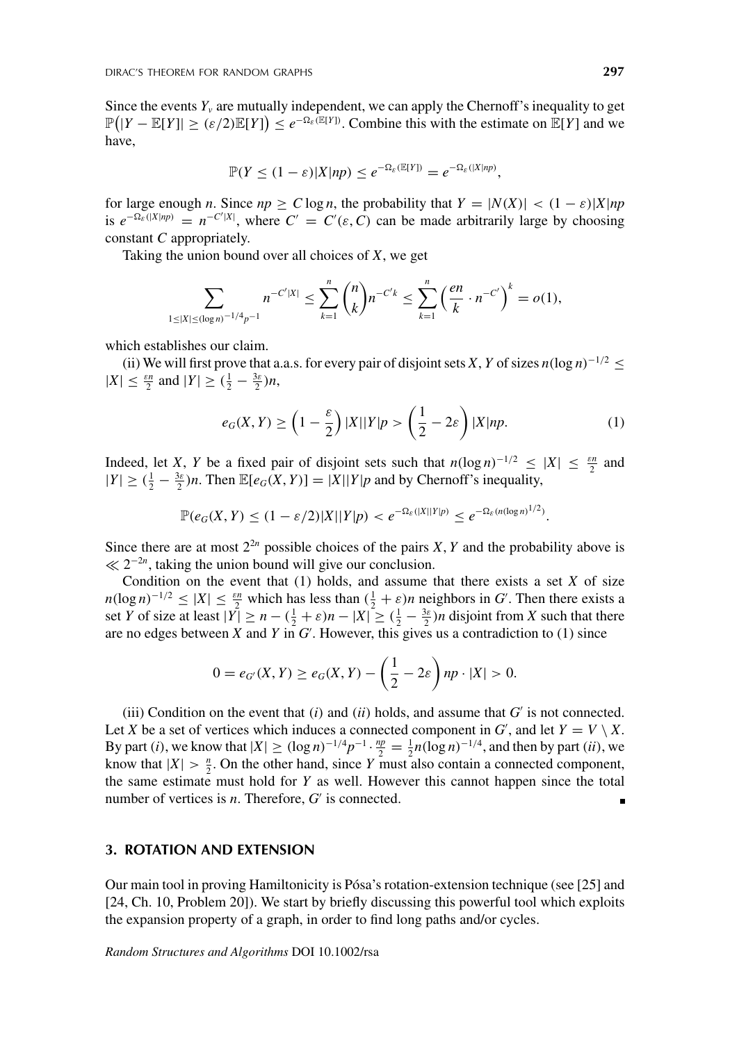Since the events  $Y_\nu$  are mutually independent, we can apply the Chernoff's inequality to get  $\mathbb{P}(|Y - \mathbb{E}[Y]| \ge (\varepsilon/2)\mathbb{E}[Y]) \le e^{-\Omega_{\varepsilon}(\mathbb{E}[Y])}$ . Combine this with the estimate on  $\mathbb{E}[Y]$  and we have,

$$
\mathbb{P}(Y \leq (1-\varepsilon)|X|np) \leq e^{-\Omega_{\varepsilon}(\mathbb{E}[Y])} = e^{-\Omega_{\varepsilon}(|X|np)},
$$

for large enough *n*. Since  $np \ge C \log n$ , the probability that  $Y = |N(X)| < (1 - \varepsilon)|X|np$ is  $e^{-\Omega_{\varepsilon}(|X|np)} = n^{-C'|X|}$ , where  $C' = C'(\varepsilon, C)$  can be made arbitrarily large by choosing constant *C* appropriately.

Taking the union bound over all choices of *X*, we get

$$
\sum_{1 \leq |X| \leq (\log n)^{-1/4} p^{-1}} n^{-C'|X|} \leq \sum_{k=1}^n {n \choose k} n^{-C'k} \leq \sum_{k=1}^n \left(\frac{en}{k} \cdot n^{-C'}\right)^k = o(1),
$$

which establishes our claim.

(ii) We will first prove that a.a.s. for every pair of disjoint sets *X*, *Y* of sizes  $n(\log n)^{-1/2}$  <  $|X| \leq \frac{\varepsilon n}{2}$  and  $|Y| \geq (\frac{1}{2} - \frac{3\varepsilon}{2})n$ ,

$$
e_G(X,Y) \ge \left(1 - \frac{\varepsilon}{2}\right)|X||Y|p > \left(\frac{1}{2} - 2\varepsilon\right)|X|np.
$$
 (1)

Indeed, let *X*, *Y* be a fixed pair of disjoint sets such that  $n(\log n)^{-1/2} \leq |X| \leq \frac{\varepsilon n}{2}$  and  $|Y| \geq (\frac{1}{2} - \frac{3\varepsilon}{2})n$ . Then  $\mathbb{E}[e_G(X, Y)] = |X||Y|p$  and by Chernoff's inequality,

$$
\mathbb{P}(e_G(X,Y) \leq (1-\varepsilon/2)|X||Y|p) < e^{-\Omega_{\varepsilon}(|X||Y|p)} \leq e^{-\Omega_{\varepsilon}(n(\log n)^{1/2})}.
$$

Since there are at most  $2^{2n}$  possible choices of the pairs *X*, *Y* and the probability above is  $\ll 2^{-2n}$ , taking the union bound will give our conclusion.

Condition on the event that  $(1)$  holds, and assume that there exists a set  $X$  of size  $n(\log n)^{-1/2} \le |X| \le \frac{\varepsilon n}{2}$  which has less than  $(\frac{1}{2} + \varepsilon)n$  neighbors in *G*'. Then there exists a set *Y* of size at least  $|Y| \ge n - (\frac{1}{2} + \varepsilon)n - |X| \ge (\frac{1}{2} - \frac{3\varepsilon}{2})n$  disjoint from *X* such that there are no edges between *X* and *Y* in *G* . However, this gives us a contradiction to (1) since

$$
0 = e_{G'}(X, Y) \ge e_G(X, Y) - \left(\frac{1}{2} - 2\varepsilon\right) np \cdot |X| > 0.
$$

(iii) Condition on the event that  $(i)$  and  $(ii)$  holds, and assume that  $G'$  is not connected. Let *X* be a set of vertices which induces a connected component in *G*', and let  $Y = V \setminus X$ . By part (*i*), we know that  $|X| \ge (\log n)^{-1/4} p^{-1} \cdot \frac{np}{2} = \frac{1}{2} n (\log n)^{-1/4}$ , and then by part (*ii*), we know that  $|X| > \frac{n}{2}$ . On the other hand, since *Y* must also contain a connected component, the same estimate must hold for *Y* as well. However this cannot happen since the total number of vertices is  $n$ . Therefore,  $G'$  is connected.  $\blacksquare$ 

## **3. ROTATION AND EXTENSION**

Our main tool in proving Hamiltonicity is Pósa's rotation-extension technique (see [25] and [24, Ch. 10, Problem 20]). We start by briefly discussing this powerful tool which exploits the expansion property of a graph, in order to find long paths and/or cycles.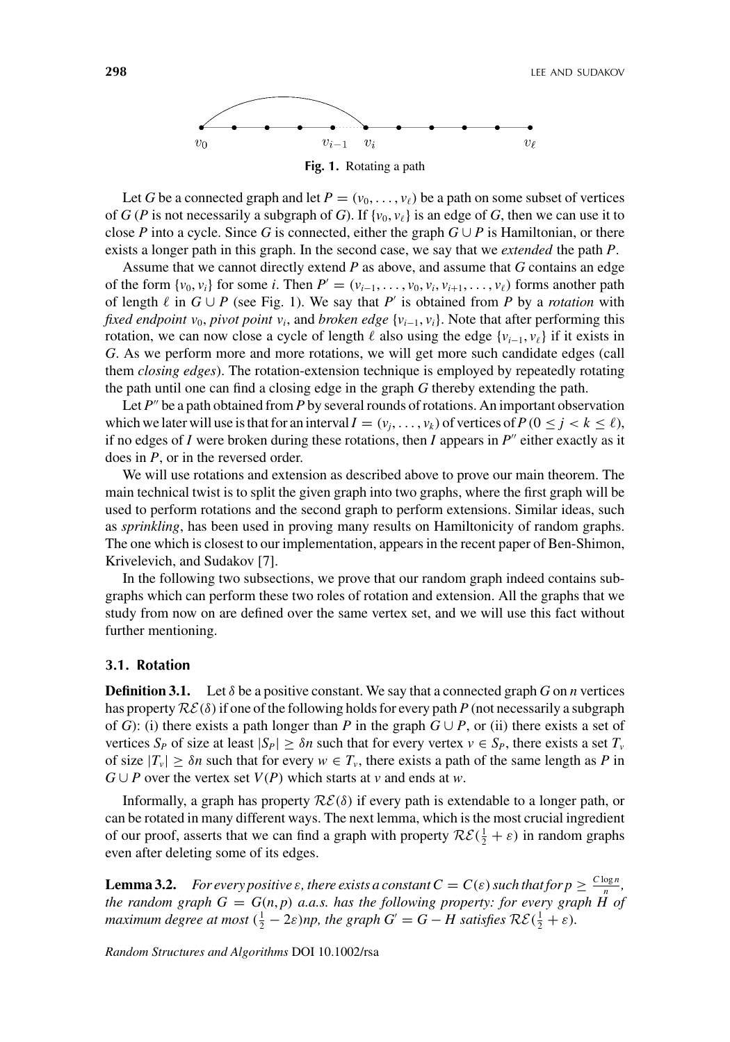

Let *G* be a connected graph and let  $P = (v_0, \ldots, v_\ell)$  be a path on some subset of vertices of *G* (*P* is not necessarily a subgraph of *G*). If {*v*<sub>0</sub>, *v*<sub> $\ell$ </sub>} is an edge of *G*, then we can use it to close *P* into a cycle. Since *G* is connected, either the graph  $G \cup P$  is Hamiltonian, or there exists a longer path in this graph. In the second case, we say that we *extended* the path *P*.

Assume that we cannot directly extend *P* as above, and assume that *G* contains an edge of the form  $\{v_0, v_i\}$  for some *i*. Then  $P' = (v_{i-1}, \ldots, v_0, v_i, v_{i+1}, \ldots, v_\ell)$  forms another path of length  $\ell$  in  $G \cup P$  (see Fig. 1). We say that P' is obtained from P by a *rotation* with *fixed endpoint v*<sub>0</sub>, *pivot point v<sub>i</sub>*, and *broken edge*  $\{v_{i-1}, v_i\}$ . Note that after performing this rotation, we can now close a cycle of length  $\ell$  also using the edge  $\{v_{i-1}, v_{\ell}\}\$ if it exists in *G*. As we perform more and more rotations, we will get more such candidate edges (call them *closing edges*). The rotation-extension technique is employed by repeatedly rotating the path until one can find a closing edge in the graph *G* thereby extending the path.

Let  $P''$  be a path obtained from  $P$  by several rounds of rotations. An important observation which we later will use is that for an interval  $I = (v_i, \ldots, v_k)$  of vertices of  $P(0 \leq j < k \leq \ell)$ , if no edges of *I* were broken during these rotations, then *I* appears in  $P''$  either exactly as it does in *P*, or in the reversed order.

We will use rotations and extension as described above to prove our main theorem. The main technical twist is to split the given graph into two graphs, where the first graph will be used to perform rotations and the second graph to perform extensions. Similar ideas, such as *sprinkling*, has been used in proving many results on Hamiltonicity of random graphs. The one which is closest to our implementation, appears in the recent paper of Ben-Shimon, Krivelevich, and Sudakov [7].

In the following two subsections, we prove that our random graph indeed contains subgraphs which can perform these two roles of rotation and extension. All the graphs that we study from now on are defined over the same vertex set, and we will use this fact without further mentioning.

#### **3.1. Rotation**

**Definition 3.1.** Let  $\delta$  be a positive constant. We say that a connected graph *G* on *n* vertices has property  $\mathcal{RE}(\delta)$  if one of the following holds for every path *P* (not necessarily a subgraph of *G*): (i) there exists a path longer than *P* in the graph  $G \cup P$ , or (ii) there exists a set of vertices  $S_P$  of size at least  $|S_P| \geq \delta n$  such that for every vertex  $v \in S_P$ , there exists a set  $T_v$ of size  $|T_v| \geq \delta n$  such that for every  $w \in T_v$ , there exists a path of the same length as P in *G* ∪ *P* over the vertex set  $V(P)$  which starts at *v* and ends at *w*.

Informally, a graph has property RE*(δ)* if every path is extendable to a longer path, or can be rotated in many different ways. The next lemma, which is the most crucial ingredient of our proof, asserts that we can find a graph with property  $\mathcal{RE}(\frac{1}{2} + \varepsilon)$  in random graphs even after deleting some of its edges.

**Lemma 3.2.** *For every positive*  $\varepsilon$ *, there exists a constant*  $C = C(\varepsilon)$  *such that for*  $p \geq \frac{C \log n}{n}$ *, the random graph*  $G = G(n, p)$  *a.a.s. has the following property: for every graph*  $H$  *of maximum degree at most*  $(\frac{1}{2} - 2\varepsilon)np$ , the graph  $G' = G - H$  satisfies  $\mathcal{RE}(\frac{1}{2} + \varepsilon)$ .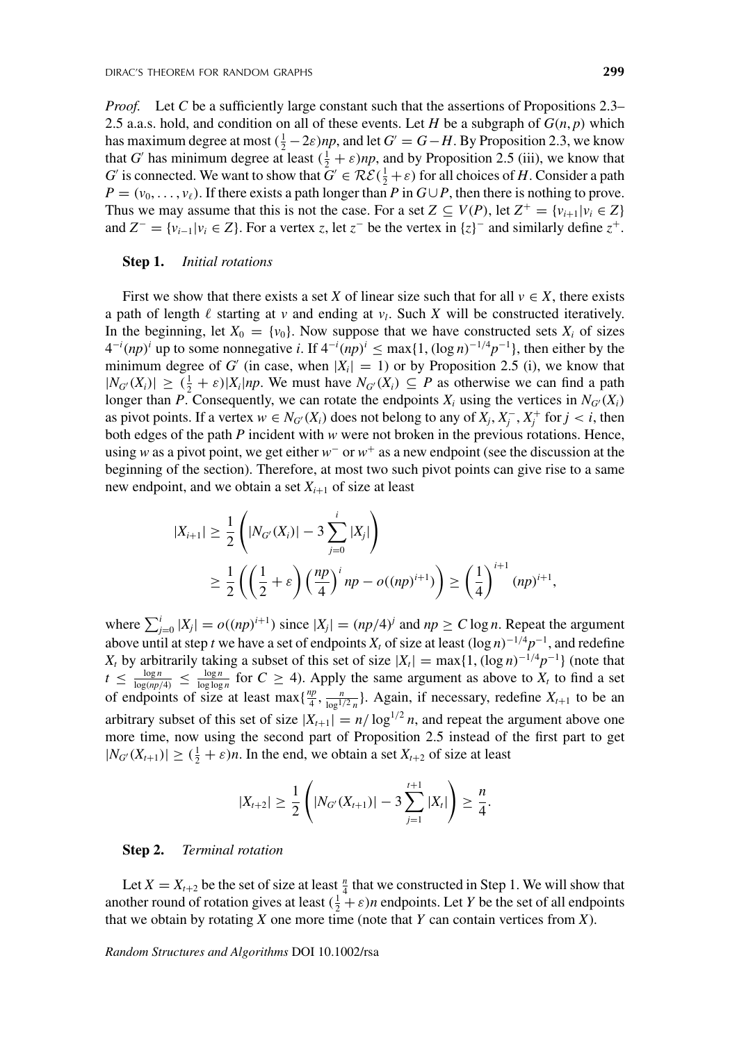*Proof.* Let *C* be a sufficiently large constant such that the assertions of Propositions 2.3– 2.5 a.a.s. hold, and condition on all of these events. Let *H* be a subgraph of  $G(n, p)$  which has maximum degree at most  $(\frac{1}{2} - 2\varepsilon)np$ , and let  $G' = G - H$ . By Proposition 2.3, we know that *G'* has minimum degree at least  $(\frac{1}{2} + \varepsilon)np$ , and by Proposition 2.5 (iii), we know that *G*' is connected. We want to show that  $G' \in \mathcal{RE}(\frac{1}{2} + \varepsilon)$  for all choices of *H*. Consider a path  $P = (v_0, \ldots, v_\ell)$ . If there exists a path longer than *P* in  $G \cup P$ , then there is nothing to prove. Thus we may assume that this is not the case. For a set  $Z \subseteq V(P)$ , let  $Z^+ = \{v_{i+1} | v_i \in Z\}$ and  $Z^{-} = \{v_{i-1}|v_i \in Z\}$ . For a vertex *z*, let  $z^{-}$  be the vertex in  $\{z\}^{-}$  and similarly define  $z^{+}$ .

#### **Step 1.** *Initial rotations*

First we show that there exists a set *X* of linear size such that for all  $v \in X$ , there exists a path of length  $\ell$  starting at *v* and ending at  $v_l$ . Such *X* will be constructed iteratively. In the beginning, let  $X_0 = \{v_0\}$ . Now suppose that we have constructed sets  $X_i$  of sizes  $4^{-i}(np)^i$  up to some nonnegative *i*. If  $4^{-i}(np)^i \leq \max\{1, (\log n)^{-1/4}p^{-1}\}$ , then either by the minimum degree of *G'* (in case, when  $|X_i| = 1$ ) or by Proposition 2.5 (i), we know that  $|N_{G'}(X_i)| \geq (\frac{1}{2} + \varepsilon)|X_i|$  *np*. We must have  $N_{G'}(X_i) \subseteq P$  as otherwise we can find a path longer than *P*. Consequently, we can rotate the endpoints  $X_i$  using the vertices in  $N_{G'}(X_i)$ as pivot points. If a vertex  $w \in N_{G'}(X_i)$  does not belong to any of  $X_j, X_j^-, X_j^+$  for  $j < i$ , then both edges of the path *P* incident with *w* were not broken in the previous rotations. Hence, using *w* as a pivot point, we get either *w*<sup>−</sup> or *w*<sup>+</sup> as a new endpoint (see the discussion at the beginning of the section). Therefore, at most two such pivot points can give rise to a same new endpoint, and we obtain a set  $X_{i+1}$  of size at least

$$
\begin{aligned} |X_{i+1}| &\geq \frac{1}{2} \left( |N_{G'}(X_i)| - 3 \sum_{j=0}^i |X_j| \right) \\ &\geq \frac{1}{2} \left( \left( \frac{1}{2} + \varepsilon \right) \left( \frac{np}{4} \right)^i np - o((np)^{i+1}) \right) \geq \left( \frac{1}{4} \right)^{i+1} (np)^{i+1}, \end{aligned}
$$

where  $\sum_{j=0}^{i} |X_j| = o((np)^{i+1})$  since  $|X_j| = (np/4)^j$  and  $np \ge C \log n$ . Repeat the argument above until at step *t* we have a set of endpoints  $X_t$  of size at least  $(\log n)^{-1/4}p^{-1}$ , and redefine *X<sub>t</sub>* by arbitrarily taking a subset of this set of size  $|X_t| = \max\{1, (\log n)^{-1/4}p^{-1}\}\$  (note that  $t \leq \frac{\log n}{\log(np/4)} \leq \frac{\log n}{\log \log n}$  for  $C \geq 4$ ). Apply the same argument as above to  $X_t$  to find a set of endpoints of size at least max $\{\frac{np}{4}, \frac{n}{\log^{1/2}n}\}$ . Again, if necessary, redefine  $X_{t+1}$  to be an arbitrary subset of this set of size  $|X_{t+1}| = n/\log^{1/2} n$ , and repeat the argument above one more time, now using the second part of Proposition 2.5 instead of the first part to get  $|N_{G'}(X_{t+1})| \geq (\frac{1}{2} + \varepsilon)n$ . In the end, we obtain a set  $X_{t+2}$  of size at least

$$
|X_{t+2}| \geq \frac{1}{2} \left( |N_{G'}(X_{t+1})| - 3 \sum_{j=1}^{t+1} |X_j| \right) \geq \frac{n}{4}.
$$

#### **Step 2.** *Terminal rotation*

Let  $X = X_{t+2}$  be the set of size at least  $\frac{n}{4}$  that we constructed in Step 1. We will show that another round of rotation gives at least  $(\frac{1}{2} + \varepsilon)n$  endpoints. Let *Y* be the set of all endpoints that we obtain by rotating *X* one more time (note that *Y* can contain vertices from *X*).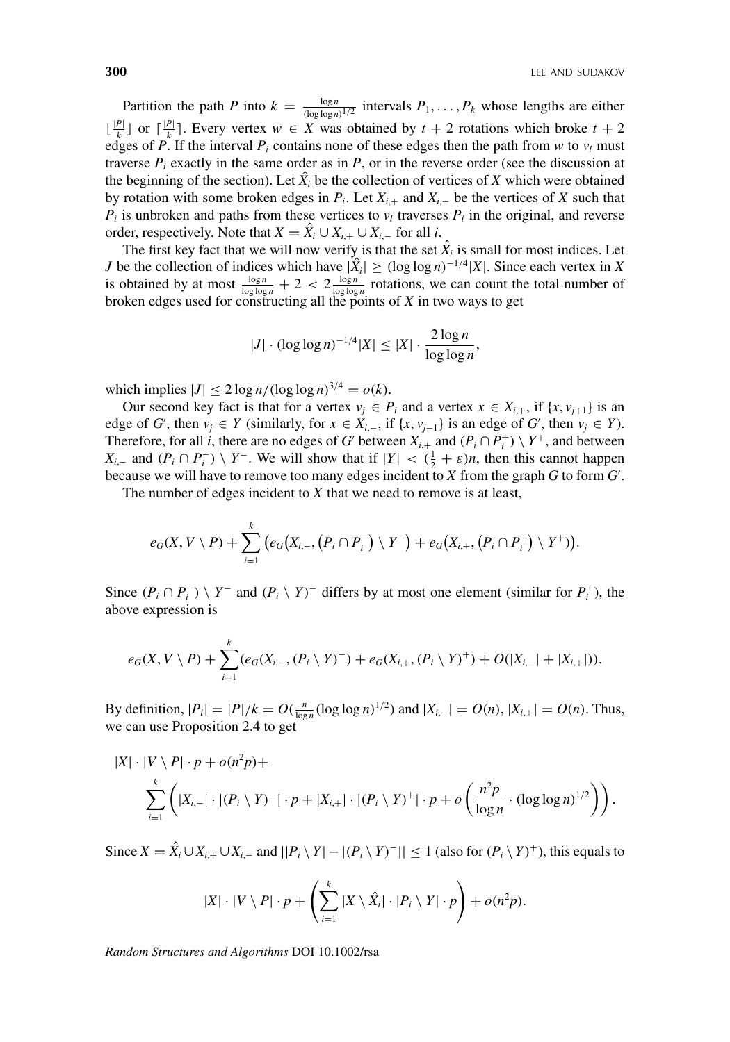Partition the path *P* into  $k = \frac{\log n}{(\log \log n)^{1/2}}$  intervals  $P_1, \ldots, P_k$  whose lengths are either  $\lfloor \frac{|P|}{k} \rfloor$  or  $\lceil \frac{|P|}{k} \rceil$ . Every vertex *w* ∈ *X* was obtained by *t* + 2 rotations which broke *t* + 2 edges of *P*. If the interval  $P_i$  contains none of these edges then the path from *w* to  $v_l$  must traverse  $P_i$  exactly in the same order as in  $P$ , or in the reverse order (see the discussion at the beginning of the section). Let  $\hat{X}_i$  be the collection of vertices of *X* which were obtained by rotation with some broken edges in *Pi*. Let *Xi*,<sup>+</sup> and *Xi*,<sup>−</sup> be the vertices of *X* such that  $P_i$  is unbroken and paths from these vertices to  $v_l$  traverses  $P_i$  in the original, and reverse order, respectively. Note that  $X = \hat{X}_i \cup X_{i,+} \cup X_{i,-}$  for all *i*.

The first key fact that we will now verify is that the set  $\hat{X}_i$  is small for most indices. Let *J* be the collection of indices which have  $|\hat{X}_i| \geq (\log \log n)^{-1/4}|X|$ . Since each vertex in *X* is obtained by at most  $\frac{\log n}{\log \log n} + 2 < 2 \frac{\log n}{\log \log n}$  rotations, we can count the total number of broken edges used for constructing all the points of *X* in two ways to get

$$
|J| \cdot (\log \log n)^{-1/4} |X| \le |X| \cdot \frac{2 \log n}{\log \log n},
$$

which implies  $|J| \leq 2 \log n / (\log \log n)^{3/4} = o(k)$ .

Our second key fact is that for a vertex  $v_j \in P_i$  and a vertex  $x \in X_{i,+}$ , if  $\{x, v_{j+1}\}$  is an edge of *G*<sup>'</sup>, then  $v_j \in Y$  (similarly, for  $x \in X_{i,-}$ , if  $\{x, v_{j-1}\}$  is an edge of *G*<sup>'</sup>, then  $v_j \in Y$ ). Therefore, for all *i*, there are no edges of *G'* between  $X_{i,+}$  and  $(P_i \cap P_i^+) \setminus Y^+$ , and between *X<sub>i*→</sub> and  $(P_i \cap P_i^-) \setminus Y^-$ . We will show that if  $|Y| \lt ( \frac{1}{2} + \varepsilon)n$ , then this cannot happen because we will have to remove too many edges incident to *X* from the graph *G* to form *G* .

The number of edges incident to *X* that we need to remove is at least,

$$
e_G(X, V \setminus P) + \sum_{i=1}^k (e_G(X_{i,-}, (P_i \cap P_i^-) \setminus Y^-) + e_G(X_{i,+}, (P_i \cap P_i^+) \setminus Y^+)).
$$

Since  $(P_i \cap P_i^-) \setminus Y^-$  and  $(P_i \setminus Y)^-$  differs by at most one element (similar for  $P_i^+$ ), the above expression is

$$
e_G(X, V \setminus P) + \sum_{i=1}^k (e_G(X_{i,-}, (P_i \setminus Y)^{-}) + e_G(X_{i,+}, (P_i \setminus Y)^{+}) + O(|X_{i,-}| + |X_{i,+}|)).
$$

By definition,  $|P_i| = |P|/k = O(\frac{n}{\log n} (\log \log n)^{1/2})$  and  $|X_{i,-}| = O(n)$ ,  $|X_{i,+}| = O(n)$ . Thus, we can use Proposition 2.4 to get

$$
|X| \cdot |V \setminus P| \cdot p + o(n^2p) + \sum_{i=1}^k \left( |X_{i,-}| \cdot |(P_i \setminus Y)^-| \cdot p + |X_{i,+}| \cdot |(P_i \setminus Y)^+| \cdot p + o\left(\frac{n^2p}{\log n} \cdot (\log \log n)^{1/2}\right) \right).
$$

Since *X* =  $\hat{X}_i$  ∪  $X_{i,+}$  ∪  $X_{i,-}$  and  $||P_i \setminus Y| - |(P_i \setminus Y)^-|| \le 1$  (also for  $(P_i \setminus Y)^+$ ), this equals to

$$
|X|\cdot |V\setminus P|\cdot p + \left(\sum_{i=1}^k |X\setminus \hat{X}_i|\cdot |P_i\setminus Y|\cdot p\right) + o(n^2p).
$$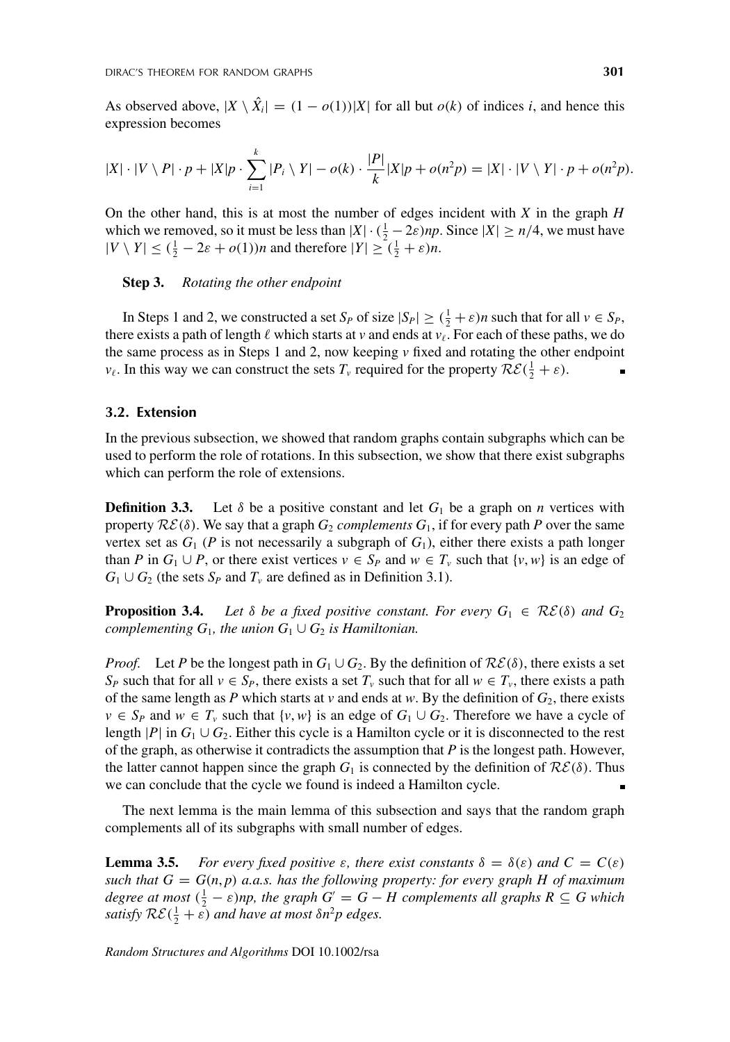As observed above,  $|X \setminus \hat{X}_i| = (1 - o(1))|X|$  for all but  $o(k)$  of indices *i*, and hence this expression becomes

$$
|X| \cdot |V \setminus P| \cdot p + |X|p \cdot \sum_{i=1}^k |P_i \setminus Y| - o(k) \cdot \frac{|P|}{k} |X|p + o(n^2p) = |X| \cdot |V \setminus Y| \cdot p + o(n^2p).
$$

On the other hand, this is at most the number of edges incident with *X* in the graph *H* which we removed, so it must be less than  $|X| \cdot (\frac{1}{2} - 2\varepsilon)np$ . Since  $|X| \ge n/4$ , we must have  $|V \setminus Y| \leq (\frac{1}{2} - 2\varepsilon + o(1))n$  and therefore  $|Y| \geq (\frac{1}{2} + \varepsilon)n$ .

#### **Step 3.** *Rotating the other endpoint*

In Steps 1 and 2, we constructed a set  $S_P$  of size  $|S_P| \ge (\frac{1}{2} + \varepsilon)n$  such that for all  $v \in S_P$ , there exists a path of length  $\ell$  which starts at *v* and ends at  $v_\ell$ . For each of these paths, we do the same process as in Steps 1 and 2, now keeping  $\nu$  fixed and rotating the other endpoint *v*<sub> $\ell$ </sub>. In this way we can construct the sets  $T_{\nu}$  required for the property  $\mathcal{RE}(\frac{1}{2} + \varepsilon)$ .

## **3.2. Extension**

In the previous subsection, we showed that random graphs contain subgraphs which can be used to perform the role of rotations. In this subsection, we show that there exist subgraphs which can perform the role of extensions.

**Definition 3.3.** Let  $\delta$  be a positive constant and let  $G_1$  be a graph on *n* vertices with property  $\mathcal{RE}(\delta)$ . We say that a graph  $G_2$  *complements*  $G_1$ , if for every path P over the same vertex set as  $G_1$  ( $P$  is not necessarily a subgraph of  $G_1$ ), either there exists a path longer than *P* in  $G_1 \cup P$ , or there exist vertices  $v \in S_P$  and  $w \in T_v$  such that  $\{v, w\}$  is an edge of  $G_1 \cup G_2$  (the sets  $S_P$  and  $T_\nu$  are defined as in Definition 3.1).

**Proposition 3.4.** *Let*  $\delta$  *be a fixed positive constant. For every*  $G_1 \in \mathcal{RE}(\delta)$  *and*  $G_2$ *complementing*  $G_1$ *, the union*  $G_1 \cup G_2$  *is Hamiltonian.* 

*Proof.* Let *P* be the longest path in  $G_1 \cup G_2$ . By the definition of  $\mathcal{RE}(\delta)$ , there exists a set *S<sub>P</sub>* such that for all  $v \in S_p$ , there exists a set  $T_v$  such that for all  $w \in T_v$ , there exists a path of the same length as  $P$  which starts at  $v$  and ends at  $w$ . By the definition of  $G_2$ , there exists  $v \in S_P$  and  $w \in T_v$  such that  $\{v, w\}$  is an edge of  $G_1 \cup G_2$ . Therefore we have a cycle of length |*P*| in  $G_1 \cup G_2$ . Either this cycle is a Hamilton cycle or it is disconnected to the rest of the graph, as otherwise it contradicts the assumption that *P* is the longest path. However, the latter cannot happen since the graph  $G_1$  is connected by the definition of  $\mathcal{RE}(\delta)$ . Thus we can conclude that the cycle we found is indeed a Hamilton cycle.

The next lemma is the main lemma of this subsection and says that the random graph complements all of its subgraphs with small number of edges.

**Lemma 3.5.** *For every fixed positive ε, there exist constants*  $\delta = \delta(\varepsilon)$  *and*  $C = C(\varepsilon)$ *such that*  $G = G(n, p)$  *a.a.s.* has the following property: for every graph H of maximum *degree at most*  $(\frac{1}{2} - \varepsilon)np$ , the graph  $G' = G - H$  complements all graphs  $R \subseteq G$  which *satisfy*  $RE(\frac{1}{2} + \tilde{\epsilon})$  *and have at most*  $\delta n^2 p$  *edges.*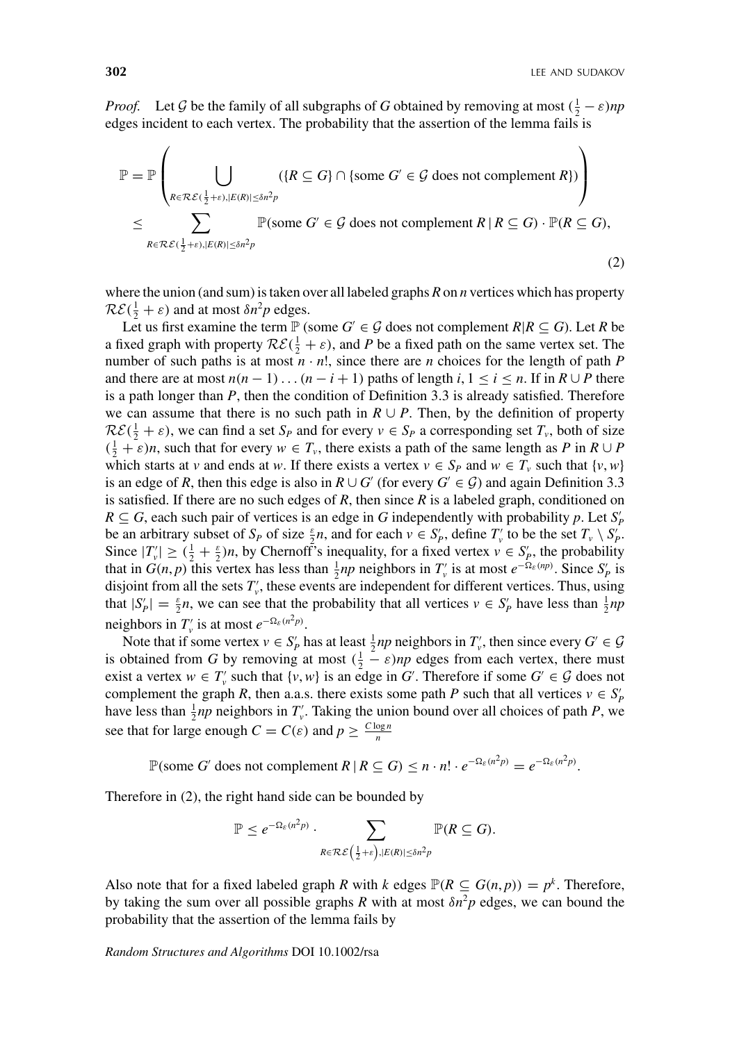*Proof.* Let G be the family of all subgraphs of G obtained by removing at most  $(\frac{1}{2} - \varepsilon)np$ edges incident to each vertex. The probability that the assertion of the lemma fails is

$$
\mathbb{P} = \mathbb{P}\left(\bigcup_{R \in \mathcal{RE}(\frac{1}{2}+\varepsilon), |E(R)| \le \delta n^2 p} (\{R \subseteq G\} \cap \{\text{some } G' \in \mathcal{G} \text{ does not complement } R\})\right)
$$
\n
$$
\le \sum_{R \in \mathcal{RE}(\frac{1}{2}+\varepsilon), |E(R)| \le \delta n^2 p} \mathbb{P}(\text{some } G' \in \mathcal{G} \text{ does not complement } R \mid R \subseteq G) \cdot \mathbb{P}(R \subseteq G),
$$
\n(2)

where the union (and sum) is taken over all labeled graphs *R* on *n* vertices which has property  $\mathcal{RE}(\frac{1}{2} + \varepsilon)$  and at most  $\delta n^2 p$  edges.

Let us first examine the term  $\mathbb{P}$  (some  $G' \in \mathcal{G}$  does not complement  $R | R \subseteq G$ ). Let  $R$  be a fixed graph with property  $\mathcal{RE}(\frac{1}{2} + \varepsilon)$ , and *P* be a fixed path on the same vertex set. The number of such paths is at most  $n \cdot n!$ , since there are *n* choices for the length of path *P* and there are at most  $n(n-1)...(n-i+1)$  paths of length  $i, 1 \le i \le n$ . If in  $R \cup P$  there is a path longer than *P*, then the condition of Definition 3.3 is already satisfied. Therefore we can assume that there is no such path in  $R \cup P$ . Then, by the definition of property  $\mathcal{RE}(\frac{1}{2} + \varepsilon)$ , we can find a set  $S_P$  and for every  $v \in S_P$  a corresponding set  $T_v$ , both of size  $(\frac{1}{2} + \varepsilon)n$ , such that for every  $w \in T_v$ , there exists a path of the same length as *P* in  $R \cup P$ which starts at *v* and ends at *w*. If there exists a vertex  $v \in S_P$  and  $w \in T_v$  such that  $\{v, w\}$ is an edge of *R*, then this edge is also in  $R \cup G'$  (for every  $G' \in \mathcal{G}$ ) and again Definition 3.3 is satisfied. If there are no such edges of *R*, then since *R* is a labeled graph, conditioned on  $R \subseteq G$ , each such pair of vertices is an edge in *G* independently with probability *p*. Let  $S'_p$ be an arbitrary subset of  $S_P$  of size  $\frac{\varepsilon}{2}n$ , and for each  $v \in S_P'$ , define  $T_v'$  to be the set  $T_v \setminus S_P'$ . Since  $|T_v'| \geq (\frac{1}{2} + \frac{\epsilon}{2})n$ , by Chernoff's inequality, for a fixed vertex  $v \in S_p'$ , the probability that in  $G(n, p)$  this vertex has less than  $\frac{1}{2}np$  neighbors in  $T'_{\nu}$  is at most  $e^{-\Omega_{\varepsilon}(np)}$ . Since  $S'_{p}$  is disjoint from all the sets  $T'_v$ , these events are independent for different vertices. Thus, using that  $|S'_P| = \frac{\varepsilon}{2}n$ , we can see that the probability that all vertices  $v \in S'_P$  have less than  $\frac{1}{2}np$ neighbors in  $T'_v$  is at most  $e^{-\Omega_{\varepsilon}(n^2 p)}$ .

Note that if some vertex  $v \in S_p'$  has at least  $\frac{1}{2}np$  neighbors in  $T_v'$ , then since every  $G' \in \mathcal{G}$ is obtained from *G* by removing at most  $(\frac{1}{2} - \varepsilon)n$  edges from each vertex, there must exist a vertex  $w \in T'_v$  such that  $\{v, w\}$  is an edge in *G*'. Therefore if some  $G' \in \mathcal{G}$  does not complement the graph *R*, then a.a.s. there exists some path *P* such that all vertices  $v \in S_p'$ have less than  $\frac{1}{2}np$  neighbors in  $T'_v$ . Taking the union bound over all choices of path *P*, we see that for large enough  $C = C(\varepsilon)$  and  $p \geq \frac{C \log n}{n}$ 

 $\mathbb{P}(\text{some } G' \text{ does not complement } R \mid R \subseteq G) \leq n \cdot n! \cdot e^{-\Omega_{\varepsilon}(n^2 p)} = e^{-\Omega_{\varepsilon}(n^2 p)}.$ 

Therefore in (2), the right hand side can be bounded by

$$
\mathbb{P} \leq e^{-\Omega_{\varepsilon}(n^2 p)} \cdot \sum_{R \in \mathcal{R} \mathcal{E}(\frac{1}{2} + \varepsilon), |E(R)| \leq \delta n^2 p} \mathbb{P}(R \subseteq G).
$$

Also note that for a fixed labeled graph *R* with *k* edges  $\mathbb{P}(R \subseteq G(n, p)) = p^k$ . Therefore, by taking the sum over all possible graphs *R* with at most  $\delta n^2 p$  edges, we can bound the probability that the assertion of the lemma fails by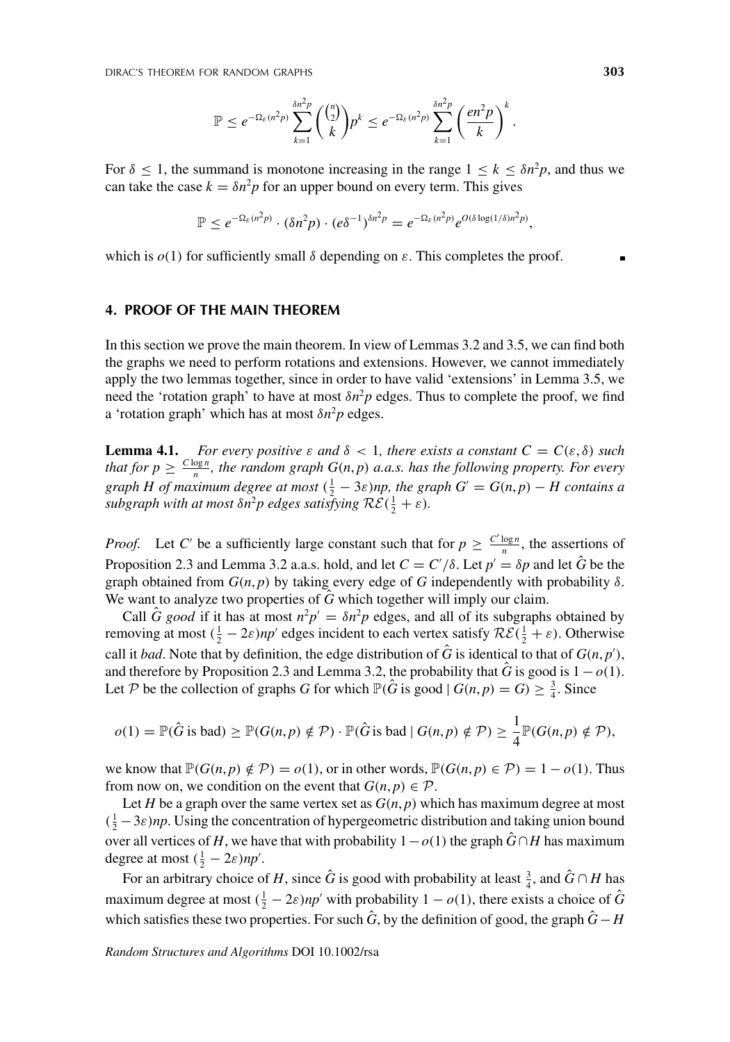$$
\mathbb{P} \leq e^{-\Omega_{\varepsilon}(n^2p)} \sum_{k=1}^{\delta n^2p} \binom{\binom{n}{2}}{k} p^k \leq e^{-\Omega_{\varepsilon}(n^2p)} \sum_{k=1}^{\delta n^2p} \left(\frac{en^2p}{k}\right)^k.
$$

For  $\delta \leq 1$ , the summand is monotone increasing in the range  $1 \leq k \leq \delta n^2 p$ , and thus we can take the case  $k = \delta n^2 p$  for an upper bound on every term. This gives

$$
\mathbb{P} \leq e^{-\Omega_{\varepsilon}(n^2p)} \cdot (\delta n^2p) \cdot (e\delta^{-1})^{\delta n^2p} = e^{-\Omega_{\varepsilon}(n^2p)} e^{O(\delta \log(1/\delta)n^2p)},
$$

which is  $o(1)$  for sufficiently small  $\delta$  depending on  $\varepsilon$ . This completes the proof.

## **4. PROOF OF THE MAIN THEOREM**

In this section we prove the main theorem. In view of Lemmas 3.2 and 3.5, we can find both the graphs we need to perform rotations and extensions. However, we cannot immediately apply the two lemmas together, since in order to have valid 'extensions' in Lemma 3.5, we need the 'rotation graph' to have at most  $\delta n^2 p$  edges. Thus to complete the proof, we find a 'rotation graph' which has at most  $\delta n^2 p$  edges.

**Lemma 4.1.** *For every positive*  $\varepsilon$  *and*  $\delta$  < 1*, there exists a constant*  $C = C(\varepsilon, \delta)$  *such that for*  $p \geq \frac{C \log n}{n}$ *, the random graph*  $G(n, p)$  *a.a.s. has the following property. For every graph H of maximum degree at most*  $(\frac{1}{2} - 3\varepsilon)$ *np, the graph G'* = *G*(*n, p*) − *H contains a subgraph with at most*  $\delta n^2 p$  *edges satisfying*  $\mathcal{RE}(\frac{1}{2} + \varepsilon)$ *.* 

*Proof.* Let *C'* be a sufficiently large constant such that for  $p \geq \frac{C' \log n}{n}$ , the assertions of Proposition 2.3 and Lemma 3.2 a.a.s. hold, and let  $C = C'/\delta$ . Let  $p' = \delta p$  and let  $\hat{G}$  be the graph obtained from  $G(n, p)$  by taking every edge of G independently with probability  $\delta$ . We want to analyze two properties of  $\hat{G}$  which together will imply our claim.

Call  $\hat{G}$  good if it has at most  $n^2p' = \delta n^2p$  edges, and all of its subgraphs obtained by removing at most  $(\frac{1}{2} - 2\varepsilon)np'$  edges incident to each vertex satisfy  $\mathcal{RE}(\frac{1}{2} + \varepsilon)$ . Otherwise call it *bad*. Note that by definition, the edge distribution of  $\hat{G}$  is identical to that of  $G(n, p')$ , and therefore by Proposition 2.3 and Lemma 3.2, the probability that  $\hat{G}$  is good is  $1 - o(1)$ . Let P be the collection of graphs G for which  $\mathbb{P}(\hat{G} \text{ is good} \mid G(n, p) = G) \geq \frac{3}{4}$ . Since

$$
o(1) = \mathbb{P}(\hat{G} \text{ is bad}) \geq \mathbb{P}(G(n,p) \notin \mathcal{P}) \cdot \mathbb{P}(\hat{G} \text{ is bad} \mid G(n,p) \notin \mathcal{P}) \geq \frac{1}{4} \mathbb{P}(G(n,p) \notin \mathcal{P}),
$$

we know that  $\mathbb{P}(G(n,p) \notin \mathcal{P}) = o(1)$ , or in other words,  $\mathbb{P}(G(n,p) \in \mathcal{P}) = 1 - o(1)$ . Thus from now on, we condition on the event that  $G(n, p) \in \mathcal{P}$ .

Let *H* be a graph over the same vertex set as  $G(n, p)$  which has maximum degree at most  $(\frac{1}{2} - 3\varepsilon)$ *np*. Using the concentration of hypergeometric distribution and taking union bound over all vertices of *H*, we have that with probability  $1-o(1)$  the graph  $\hat{G} \cap H$  has maximum degree at most  $(\frac{1}{2} - 2\varepsilon)np'$ .

For an arbitrary choice of *H*, since  $\hat{G}$  is good with probability at least  $\frac{3}{4}$ , and  $\hat{G} \cap H$  has maximum degree at most  $(\frac{1}{2} - 2\varepsilon)np'$  with probability  $1 - o(1)$ , there exists a choice of  $\hat{G}$ which satisfies these two properties. For such  $\hat{G}$ , by the definition of good, the graph  $\hat{G}$  − *H*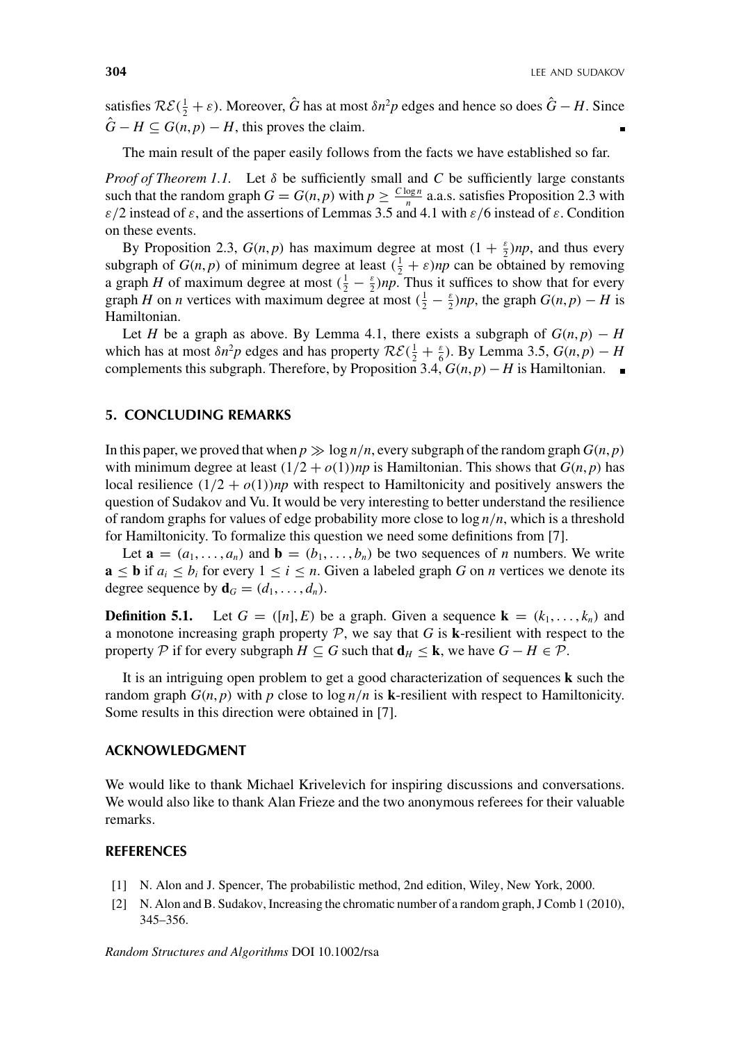satisfies  $\mathcal{RE}(\frac{1}{2} + \varepsilon)$ . Moreover,  $\hat{G}$  has at most  $\delta n^2 p$  edges and hence so does  $\hat{G} - H$ . Since  $G - H \subseteq G(n, p) - H$ , this proves the claim.

The main result of the paper easily follows from the facts we have established so far.

*Proof of Theorem 1.1.* Let  $\delta$  be sufficiently small and *C* be sufficiently large constants such that the random graph  $G = G(n, p)$  with  $p \ge \frac{C \log n}{n}$  a.a.s. satisfies Proposition 2.3 with *ε/*2 instead of *ε*, and the assertions of Lemmas 3.5 and 4.1 with *ε/*6 instead of *ε*. Condition on these events.

By Proposition 2.3,  $G(n, p)$  has maximum degree at most  $(1 + \frac{\varepsilon}{2})np$ , and thus every subgraph of  $G(n, p)$  of minimum degree at least  $(\frac{1}{2} + \varepsilon)np$  can be obtained by removing a graph *H* of maximum degree at most  $(\frac{1}{2} - \frac{\epsilon}{2})np$ . Thus it suffices to show that for every graph *H* on *n* vertices with maximum degree at most  $(\frac{1}{2} - \frac{\varepsilon}{2})np$ , the graph  $G(n, p) - H$  is Hamiltonian.

Let *H* be a graph as above. By Lemma 4.1, there exists a subgraph of  $G(n, p) - H$ which has at most  $\delta n^2 p$  edges and has property  $\mathcal{RE}(\frac{1}{2} + \frac{\varepsilon}{6})$ . By Lemma 3.5,  $G(n, p) - H$ complements this subgraph. Therefore, by Proposition 3.4,  $G(n, p) - H$  is Hamiltonian. ■

## **5. CONCLUDING REMARKS**

In this paper, we proved that when  $p \gg \log n/n$ , every subgraph of the random graph  $G(n, p)$ with minimum degree at least  $(1/2 + o(1))$ *np* is Hamiltonian. This shows that  $G(n, p)$  has local resilience  $(1/2 + o(1))$ *np* with respect to Hamiltonicity and positively answers the question of Sudakov and Vu. It would be very interesting to better understand the resilience of random graphs for values of edge probability more close to log *n/n*, which is a threshold for Hamiltonicity. To formalize this question we need some definitions from [7].

Let  $\mathbf{a} = (a_1, \ldots, a_n)$  and  $\mathbf{b} = (b_1, \ldots, b_n)$  be two sequences of *n* numbers. We write  $\mathbf{a} \leq \mathbf{b}$  if  $a_i \leq b_i$  for every  $1 \leq i \leq n$ . Given a labeled graph *G* on *n* vertices we denote its degree sequence by  $\mathbf{d}_G = (d_1, \ldots, d_n)$ .

**Definition 5.1.** Let  $G = ([n], E)$  be a graph. Given a sequence  $\mathbf{k} = (k_1, \ldots, k_n)$  and a monotone increasing graph property  $P$ , we say that  $G$  is **k**-resilient with respect to the property  $P$  if for every subgraph  $H \subseteq G$  such that  $\mathbf{d}_H \leq \mathbf{k}$ , we have  $G - H \in P$ .

It is an intriguing open problem to get a good characterization of sequences **k** such the random graph  $G(n, p)$  with  $p$  close to  $\log n/n$  is **k**-resilient with respect to Hamiltonicity. Some results in this direction were obtained in [7].

## **ACKNOWLEDGMENT**

We would like to thank Michael Krivelevich for inspiring discussions and conversations. We would also like to thank Alan Frieze and the two anonymous referees for their valuable remarks.

## **REFERENCES**

- [1] N. Alon and J. Spencer, The probabilistic method, 2nd edition, Wiley, New York, 2000.
- [2] N. Alon and B. Sudakov, Increasing the chromatic number of a random graph, J Comb 1 (2010), 345–356.